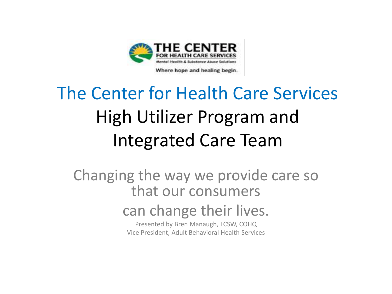

Where hope and healing begin.

#### The Center for Health Care Services High Utilizer Program and Integrated Care Team

Changing the way we provide care so that our consumers

#### can change their lives.

Presented by Bren Manaugh, LCSW, COHQ Vice President, Adult Behavioral Health Services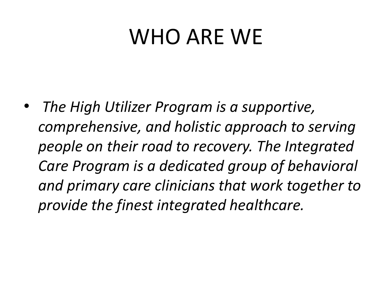### WHO ARE WE

• *The High Utilizer Program is a supportive, comprehensive, and holistic approach to serving people on their road to recovery. The Integrated Care Program is a dedicated group of behavioral and primary care clinicians that work together to provide the finest integrated healthcare.*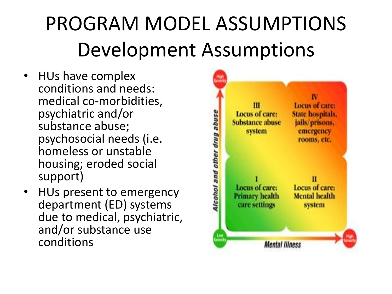# PROGRAM MODEL ASSUMPTIONS Development Assumptions

- HUs have complex conditions and needs: medical co-morbidities, psychiatric and/or substance abuse; psychosocial needs (i.e. homeless or unstable housing; eroded social support)
- HUs present to emergency department (ED) systems due to medical, psychiatric, and/or substance use conditions

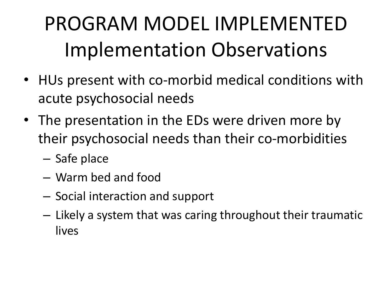# PROGRAM MODEL IMPLEMENTED Implementation Observations

- HUs present with co-morbid medical conditions with acute psychosocial needs
- The presentation in the EDs were driven more by their psychosocial needs than their co-morbidities
	- Safe place
	- Warm bed and food
	- Social interaction and support
	- Likely a system that was caring throughout their traumatic lives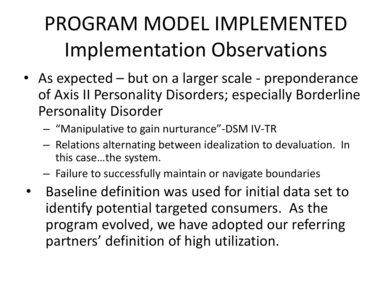# PROGRAM MODEL IMPLEMENTED Implementation Observations

- As expected but on a larger scale preponderance of Axis II Personality Disorders; especially Borderline Personality Disorder
	- "Manipulative to gain nurturance"-DSM IV-TR
	- Relations alternating between idealization to devaluation. In this case…the system.
	- Failure to successfully maintain or navigate boundaries
- Baseline definition was used for initial data set to identify potential targeted consumers. As the program evolved, we have adopted our referring partners' definition of high utilization.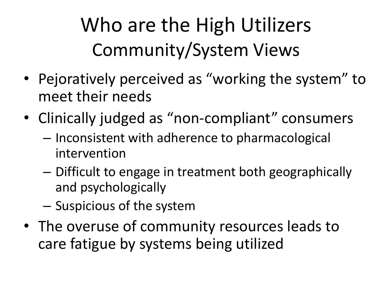Who are the High Utilizers Community/System Views

- Pejoratively perceived as "working the system" to meet their needs
- Clinically judged as "non-compliant" consumers
	- Inconsistent with adherence to pharmacological intervention
	- Difficult to engage in treatment both geographically and psychologically
	- Suspicious of the system
- The overuse of community resources leads to care fatigue by systems being utilized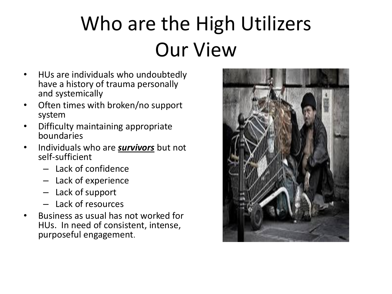# Who are the High Utilizers Our View

- HUs are individuals who undoubtedly have a history of trauma personally and systemically
- Often times with broken/no support system
- Difficulty maintaining appropriate boundaries
- Individuals who are *survivors* but not self-sufficient
	- Lack of confidence
	- Lack of experience
	- Lack of support
	- Lack of resources
- Business as usual has not worked for HUs. In need of consistent, intense, purposeful engagement.

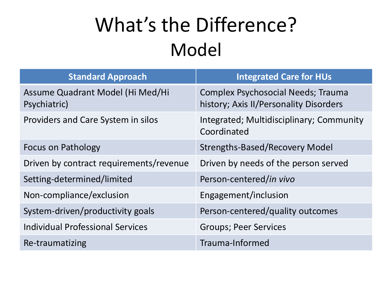#### What's the Difference? Model

| <b>Standard Approach</b>                         | <b>Integrated Care for HUs</b>                                                      |
|--------------------------------------------------|-------------------------------------------------------------------------------------|
| Assume Quadrant Model (Hi Med/Hi<br>Psychiatric) | <b>Complex Psychosocial Needs; Trauma</b><br>history; Axis II/Personality Disorders |
| Providers and Care System in silos               | Integrated; Multidisciplinary; Community<br>Coordinated                             |
| <b>Focus on Pathology</b>                        | <b>Strengths-Based/Recovery Model</b>                                               |
| Driven by contract requirements/revenue          | Driven by needs of the person served                                                |
| Setting-determined/limited                       | Person-centered/in vivo                                                             |
| Non-compliance/exclusion                         | Engagement/inclusion                                                                |
| System-driven/productivity goals                 | Person-centered/quality outcomes                                                    |
| <b>Individual Professional Services</b>          | <b>Groups; Peer Services</b>                                                        |
| Re-traumatizing                                  | Trauma-Informed                                                                     |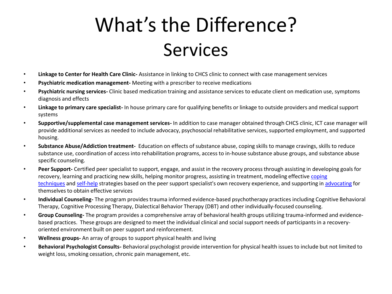#### What's the Difference? Services

- **Linkage to Center for Health Care Clinic-** Assistance in linking to CHCS clinic to connect with case management services
- **Psychiatric medication management-** Meeting with a prescriber to receive medications
- **Psychiatric nursing services-** Clinic based medication training and assistance services to educate client on medication use, symptoms diagnosis and effects
- **Linkage to primary care specialist-** In house primary care for qualifying benefits or linkage to outside providers and medical support systems
- **Supportive/supplemental case management services-** In addition to case manager obtained through CHCS clinic, ICT case manager will provide additional services as needed to include advocacy, psychosocial rehabilitative services, supported employment, and supported housing.
- **Substance Abuse/Addiction treatment-** Education on effects of substance abuse, coping skills to manage cravings, skills to reduce substance use, coordination of access into rehabilitation programs, access to in-house substance abuse groups, and substance abuse specific counseling.
- **Peer Support-** Certified peer specialist to support, engage, and assist in the recovery process through assisting in developing goals for [recovery, learning and practicing new skills, helping monitor progress, assisting in treatment, modeling effective](http://en.wikipedia.org/wiki/Coping_strategies) coping techniques and [self-help](http://en.wikipedia.org/wiki/Self-help) strategies based on the peer support specialist's own recovery experience, and supporting in [advocating](http://en.wikipedia.org/wiki/Self-advocacy) for themselves to obtain effective services
- **Individual Counseling-** The program provides trauma informed evidence-based psychotherapy practices including Cognitive Behavioral Therapy, Cognitive Processing Therapy, Dialectical Behavior Therapy (DBT) and other individually-focused counseling.
- **Group Counseling-** The program provides a comprehensive array of behavioral health groups utilizing trauma-informed and evidencebased practices. These groups are designed to meet the individual clinical and social support needs of participants in a recoveryoriented environment built on peer support and reinforcement.
- **Wellness groups-** An array of groups to support physical health and living
- **Behavioral Psychologist Consults-** Behavioral psychologist provide intervention for physical health issues to include but not limited to weight loss, smoking cessation, chronic pain management, etc.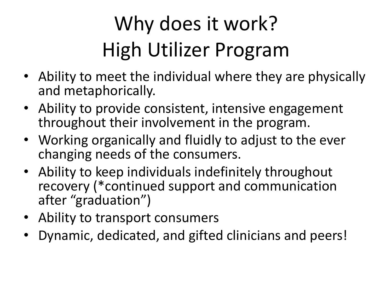# Why does it work? High Utilizer Program

- Ability to meet the individual where they are physically and metaphorically.
- Ability to provide consistent, intensive engagement throughout their involvement in the program.
- Working organically and fluidly to adjust to the ever changing needs of the consumers.
- Ability to keep individuals indefinitely throughout recovery (\*continued support and communication after "graduation")
- Ability to transport consumers
- Dynamic, dedicated, and gifted clinicians and peers!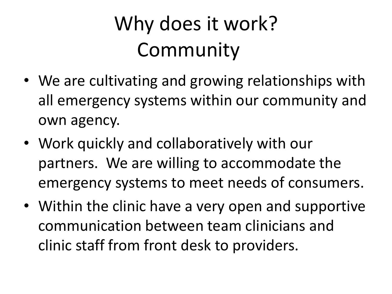# Why does it work? Community

- We are cultivating and growing relationships with all emergency systems within our community and own agency.
- Work quickly and collaboratively with our partners. We are willing to accommodate the emergency systems to meet needs of consumers.
- Within the clinic have a very open and supportive communication between team clinicians and clinic staff from front desk to providers.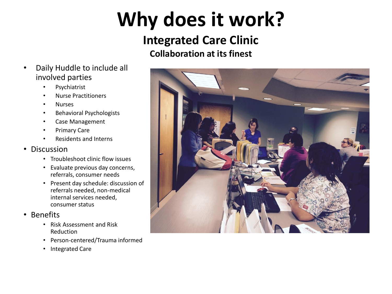# **Why does it work?**

#### **Integrated Care Clinic Collaboration at its finest**

- Daily Huddle to include all involved parties
	- Psychiatrist
	- Nurse Practitioners
	- Nurses
	- Behavioral Psychologists
	- Case Management
	- Primary Care
	- Residents and Interns

#### • Discussion

- Troubleshoot clinic flow issues
- Evaluate previous day concerns, referrals, consumer needs
- Present day schedule: discussion of referrals needed, non-medical internal services needed, consumer status
- Benefits
	- Risk Assessment and Risk Reduction
	- Person-centered/Trauma informed
	- Integrated Care

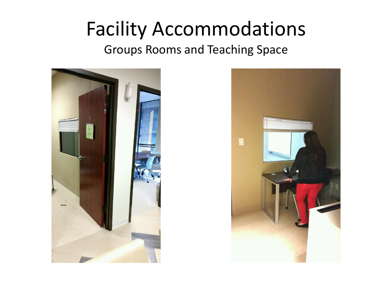#### Facility Accommodations

Groups Rooms and Teaching Space



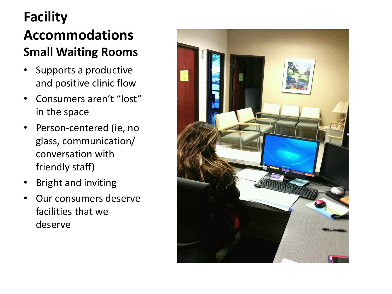#### **Facility Accommodations Small Waiting Rooms**

- Supports a productive and positive clinic flow
- Consumers aren't "lost" in the space
- Person-centered (ie, no glass, communication/ conversation with friendly staff)
- Bright and inviting
- Our consumers deserve facilities that we deserve

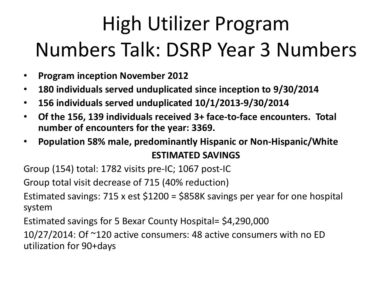# High Utilizer Program Numbers Talk: DSRP Year 3 Numbers

- **Program inception November 2012**
- **180 individuals served unduplicated since inception to 9/30/2014**
- **156 individuals served unduplicated 10/1/2013-9/30/2014**
- **Of the 156, 139 individuals received 3+ face-to-face encounters. Total number of encounters for the year: 3369.**
- **Population 58% male, predominantly Hispanic or Non-Hispanic/White ESTIMATED SAVINGS**

Group (154) total: 1782 visits pre-IC; 1067 post-IC

Group total visit decrease of 715 (40% reduction)

Estimated savings: 715 x est \$1200 = \$858K savings per year for one hospital system

Estimated savings for 5 Bexar County Hospital= \$4,290,000

10/27/2014: Of ~120 active consumers: 48 active consumers with no ED utilization for 90+days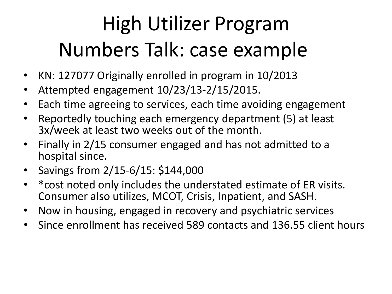# High Utilizer Program Numbers Talk: case example

- KN: 127077 Originally enrolled in program in 10/2013
- Attempted engagement 10/23/13-2/15/2015.
- Each time agreeing to services, each time avoiding engagement
- Reportedly touching each emergency department (5) at least 3x/week at least two weeks out of the month.
- Finally in 2/15 consumer engaged and has not admitted to a hospital since.
- Savings from 2/15-6/15: \$144,000
- \*cost noted only includes the understated estimate of ER visits. Consumer also utilizes, MCOT, Crisis, Inpatient, and SASH.
- Now in housing, engaged in recovery and psychiatric services
- Since enrollment has received 589 contacts and 136.55 client hours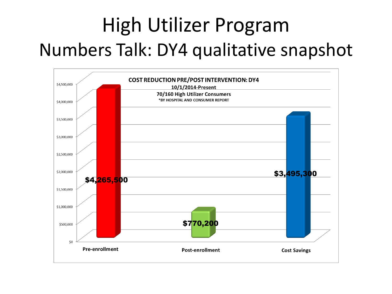#### High Utilizer Program Numbers Talk: DY4 qualitative snapshot